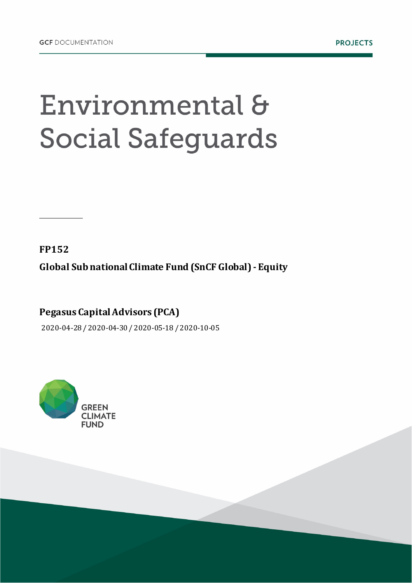## Environmental & **Social Safeguards**

**FP152**

**Global Sub national Climate Fund (SnCF Global) - Equity**

**Pegasus Capital Advisors (PCA)**

2020-04-28 / 2020-04-30 / 2020-05-18 / 2020-10-05

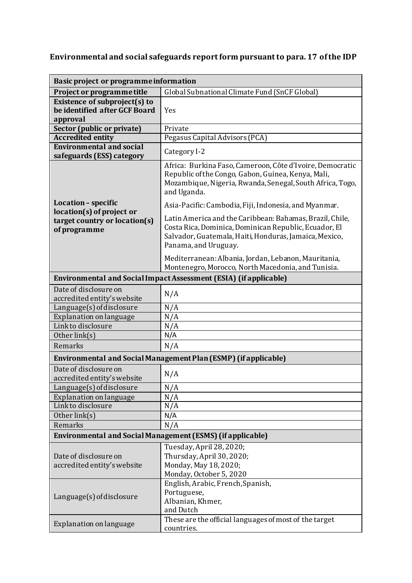## **Environmental and social safeguards reportform pursuant to para. 17 of the IDP**

| Basic project or programme information                                                            |                                                                                                                                                                                                     |  |
|---------------------------------------------------------------------------------------------------|-----------------------------------------------------------------------------------------------------------------------------------------------------------------------------------------------------|--|
| Project or programme title                                                                        | Global Subnational Climate Fund (SnCF Global)                                                                                                                                                       |  |
| Existence of subproject(s) to                                                                     |                                                                                                                                                                                                     |  |
| be identified after GCF Board                                                                     | Yes                                                                                                                                                                                                 |  |
| approval                                                                                          |                                                                                                                                                                                                     |  |
| Sector (public or private)<br><b>Accredited entity</b>                                            | Private<br>Pegasus Capital Advisors (PCA)                                                                                                                                                           |  |
| <b>Environmental and social</b>                                                                   |                                                                                                                                                                                                     |  |
| safeguards (ESS) category                                                                         | Category I-2                                                                                                                                                                                        |  |
| Location - specific<br>location(s) of project or<br>target country or location(s)<br>of programme | Africa: Burkina Faso, Cameroon, Côte d'Ivoire, Democratic<br>Republic of the Congo, Gabon, Guinea, Kenya, Mali,<br>Mozambique, Nigeria, Rwanda, Senegal, South Africa, Togo,<br>and Uganda.         |  |
|                                                                                                   | Asia-Pacific: Cambodia, Fiji, Indonesia, and Myanmar.                                                                                                                                               |  |
|                                                                                                   | Latin America and the Caribbean: Bahamas, Brazil, Chile,<br>Costa Rica, Dominica, Dominican Republic, Ecuador, El<br>Salvador, Guatemala, Haiti, Honduras, Jamaica, Mexico,<br>Panama, and Uruguay. |  |
|                                                                                                   | Mediterranean: Albania, Jordan, Lebanon, Mauritania,<br>Montenegro, Morocco, North Macedonia, and Tunisia.                                                                                          |  |
| Environmental and Social Impact Assessment (ESIA) (if applicable)                                 |                                                                                                                                                                                                     |  |
| Date of disclosure on<br>accredited entity's website                                              | N/A                                                                                                                                                                                                 |  |
| Language(s) of disclosure                                                                         | N/A                                                                                                                                                                                                 |  |
| Explanation on language                                                                           | N/A                                                                                                                                                                                                 |  |
| Linkto disclosure                                                                                 | N/A                                                                                                                                                                                                 |  |
| Other link(s)                                                                                     | N/A                                                                                                                                                                                                 |  |
| Remarks                                                                                           | N/A                                                                                                                                                                                                 |  |
| Environmental and Social Management Plan (ESMP) (if applicable)                                   |                                                                                                                                                                                                     |  |
| Date of disclosure on<br>accredited entity's website                                              | N/A                                                                                                                                                                                                 |  |
| Language(s) of disclosure                                                                         | N/A                                                                                                                                                                                                 |  |
| Explanation on language                                                                           | N/A                                                                                                                                                                                                 |  |
| Linkto disclosure                                                                                 | N/A                                                                                                                                                                                                 |  |
| Other link(s)                                                                                     | N/A                                                                                                                                                                                                 |  |
| Remarks                                                                                           | N/A                                                                                                                                                                                                 |  |
| Environmental and Social Management (ESMS) (if applicable)                                        |                                                                                                                                                                                                     |  |
| Date of disclosure on<br>accredited entity's website                                              | Tuesday, April 28, 2020;<br>Thursday, April 30, 2020;<br>Monday, May 18, 2020;<br>Monday, October 5, 2020                                                                                           |  |
| $L$ anguage $(s)$ of disclosure                                                                   | English, Arabic, French, Spanish,<br>Portuguese,<br>Albanian, Khmer,<br>and Dutch                                                                                                                   |  |
| Explanation on language                                                                           | These are the official languages of most of the target<br>countries.                                                                                                                                |  |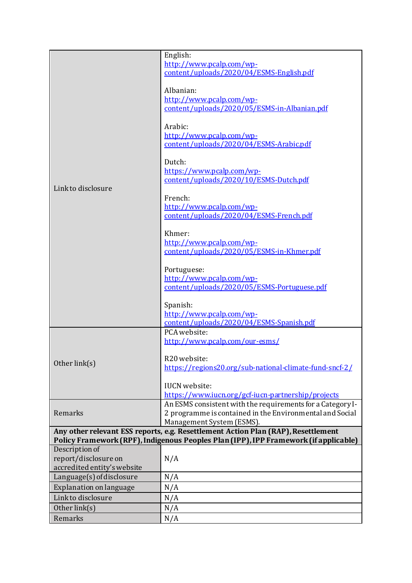|                                                                                                                                                                           | English:                                                   |
|---------------------------------------------------------------------------------------------------------------------------------------------------------------------------|------------------------------------------------------------|
|                                                                                                                                                                           | http://www.pcalp.com/wp-                                   |
|                                                                                                                                                                           | content/uploads/2020/04/ESMS-English.pdf                   |
|                                                                                                                                                                           |                                                            |
|                                                                                                                                                                           | Albanian:                                                  |
|                                                                                                                                                                           | http://www.pcalp.com/wp-                                   |
|                                                                                                                                                                           | content/uploads/2020/05/ESMS-in-Albanian.pdf               |
|                                                                                                                                                                           |                                                            |
|                                                                                                                                                                           | Arabic:                                                    |
|                                                                                                                                                                           | http://www.pcalp.com/wp-                                   |
|                                                                                                                                                                           | content/uploads/2020/04/ESMS-Arabic.pdf                    |
|                                                                                                                                                                           |                                                            |
|                                                                                                                                                                           | Dutch:                                                     |
|                                                                                                                                                                           | https://www.pcalp.com/wp-                                  |
|                                                                                                                                                                           | content/uploads/2020/10/ESMS-Dutch.pdf                     |
| Linkto disclosure                                                                                                                                                         |                                                            |
|                                                                                                                                                                           | French:                                                    |
|                                                                                                                                                                           | http://www.pcalp.com/wp-                                   |
|                                                                                                                                                                           | content/uploads/2020/04/ESMS-French.pdf                    |
|                                                                                                                                                                           |                                                            |
|                                                                                                                                                                           | Khmer:                                                     |
|                                                                                                                                                                           | http://www.pcalp.com/wp-                                   |
|                                                                                                                                                                           | content/uploads/2020/05/ESMS-in-Khmer.pdf                  |
|                                                                                                                                                                           |                                                            |
|                                                                                                                                                                           | Portuguese:                                                |
|                                                                                                                                                                           | http://www.pcalp.com/wp-                                   |
|                                                                                                                                                                           | content/uploads/2020/05/ESMS-Portuguese.pdf                |
|                                                                                                                                                                           |                                                            |
|                                                                                                                                                                           | Spanish:                                                   |
|                                                                                                                                                                           | http://www.pcalp.com/wp-                                   |
|                                                                                                                                                                           | content/uploads/2020/04/ESMS-Spanish.pdf                   |
|                                                                                                                                                                           | PCA website:                                               |
|                                                                                                                                                                           | http://www.pcalp.com/our-esms/                             |
|                                                                                                                                                                           |                                                            |
| Other link(s)                                                                                                                                                             | R20 website:                                               |
|                                                                                                                                                                           | https://regions20.org/sub-national-climate-fund-sncf-2/    |
|                                                                                                                                                                           | <b>IUCN</b> website:                                       |
|                                                                                                                                                                           | https://www.iucn.org/gcf-iucn-partnership/projects         |
| Remarks                                                                                                                                                                   | An ESMS consistent with the requirements for a Category I- |
|                                                                                                                                                                           | 2 programme is contained in the Environmental and Social   |
|                                                                                                                                                                           | Management System (ESMS).                                  |
|                                                                                                                                                                           |                                                            |
| Any other relevant ESS reports, e.g. Resettlement Action Plan (RAP), Resettlement<br>Policy Framework (RPF), Indigenous Peoples Plan (IPP), IPP Framework (if applicable) |                                                            |
| Description of                                                                                                                                                            |                                                            |
| report/disclosure on                                                                                                                                                      | N/A                                                        |
| accredited entity's website                                                                                                                                               |                                                            |
| Language(s) of disclosure                                                                                                                                                 | N/A                                                        |
| Explanation on language                                                                                                                                                   | N/A                                                        |
| Linkto disclosure                                                                                                                                                         |                                                            |
|                                                                                                                                                                           | N/A                                                        |
| Other link(s)                                                                                                                                                             | N/A                                                        |
| Remarks                                                                                                                                                                   | N/A                                                        |